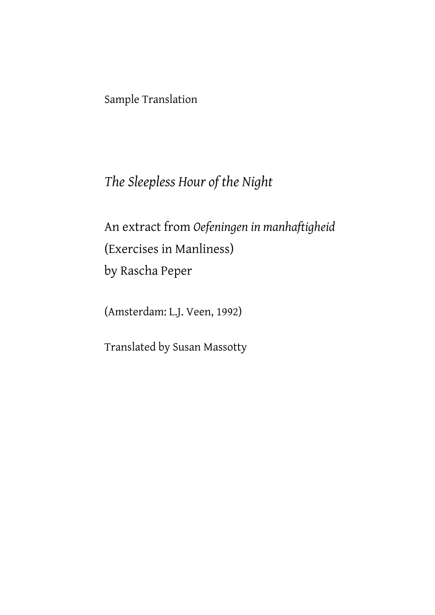Sample Translation

# *The Sleepless Hour of the Night*

An extract from *Oefeningen in manhaftigheid*  (Exercises in Manliness) by Rascha Peper

(Amsterdam: L.J. Veen, 1992)

Translated by Susan Massotty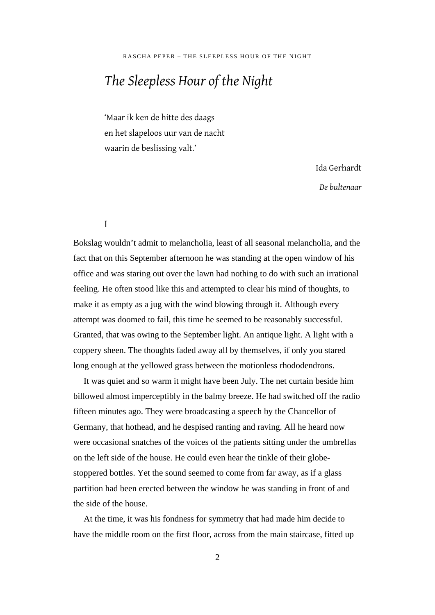# *The Sleepless Hour of the Night*

'Maar ik ken de hitte des daags en het slapeloos uur van de nacht waarin de beslissing valt.'

Ida Gerhardt

*De bultenaar* 

I

Bokslag wouldn't admit to melancholia, least of all seasonal melancholia, and the fact that on this September afternoon he was standing at the open window of his office and was staring out over the lawn had nothing to do with such an irrational feeling. He often stood like this and attempted to clear his mind of thoughts, to make it as empty as a jug with the wind blowing through it. Although every attempt was doomed to fail, this time he seemed to be reasonably successful. Granted, that was owing to the September light. An antique light. A light with a coppery sheen. The thoughts faded away all by themselves, if only you stared long enough at the yellowed grass between the motionless rhododendrons.

It was quiet and so warm it might have been July. The net curtain beside him billowed almost imperceptibly in the balmy breeze. He had switched off the radio fifteen minutes ago. They were broadcasting a speech by the Chancellor of Germany, that hothead, and he despised ranting and raving. All he heard now were occasional snatches of the voices of the patients sitting under the umbrellas on the left side of the house. He could even hear the tinkle of their globestoppered bottles. Yet the sound seemed to come from far away, as if a glass partition had been erected between the window he was standing in front of and the side of the house.

At the time, it was his fondness for symmetry that had made him decide to have the middle room on the first floor, across from the main staircase, fitted up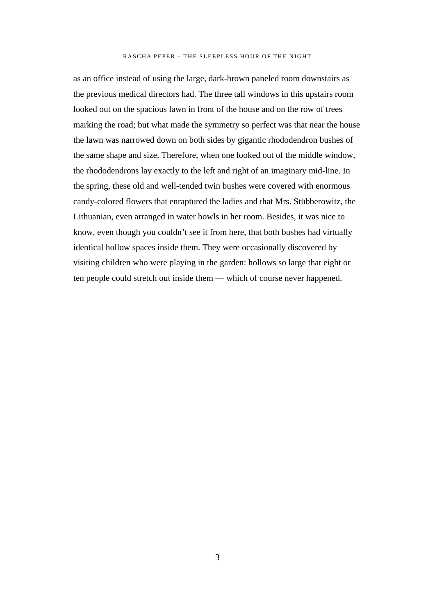#### RASCHA PEPER – THE SLEEPLESS HOUR OF THE NIGHT

as an office instead of using the large, dark-brown paneled room downstairs as the previous medical directors had. The three tall windows in this upstairs room looked out on the spacious lawn in front of the house and on the row of trees marking the road; but what made the symmetry so perfect was that near the house the lawn was narrowed down on both sides by gigantic rhododendron bushes of the same shape and size. Therefore, when one looked out of the middle window, the rhododendrons lay exactly to the left and right of an imaginary mid-line. In the spring, these old and well-tended twin bushes were covered with enormous candy-colored flowers that enraptured the ladies and that Mrs. Stübberowitz, the Lithuanian, even arranged in water bowls in her room. Besides, it was nice to know, even though you couldn't see it from here, that both bushes had virtually identical hollow spaces inside them. They were occasionally discovered by visiting children who were playing in the garden: hollows so large that eight or ten people could stretch out inside them — which of course never happened.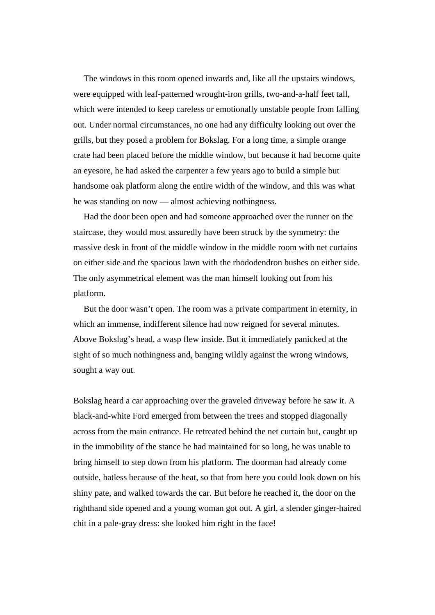The windows in this room opened inwards and, like all the upstairs windows, were equipped with leaf-patterned wrought-iron grills, two-and-a-half feet tall, which were intended to keep careless or emotionally unstable people from falling out. Under normal circumstances, no one had any difficulty looking out over the grills, but they posed a problem for Bokslag. For a long time, a simple orange crate had been placed before the middle window, but because it had become quite an eyesore, he had asked the carpenter a few years ago to build a simple but handsome oak platform along the entire width of the window, and this was what he was standing on now — almost achieving nothingness.

Had the door been open and had someone approached over the runner on the staircase, they would most assuredly have been struck by the symmetry: the massive desk in front of the middle window in the middle room with net curtains on either side and the spacious lawn with the rhododendron bushes on either side. The only asymmetrical element was the man himself looking out from his platform.

But the door wasn't open. The room was a private compartment in eternity, in which an immense, indifferent silence had now reigned for several minutes. Above Bokslag's head, a wasp flew inside. But it immediately panicked at the sight of so much nothingness and, banging wildly against the wrong windows, sought a way out.

Bokslag heard a car approaching over the graveled driveway before he saw it. A black-and-white Ford emerged from between the trees and stopped diagonally across from the main entrance. He retreated behind the net curtain but, caught up in the immobility of the stance he had maintained for so long, he was unable to bring himself to step down from his platform. The doorman had already come outside, hatless because of the heat, so that from here you could look down on his shiny pate, and walked towards the car. But before he reached it, the door on the righthand side opened and a young woman got out. A girl, a slender ginger-haired chit in a pale-gray dress: she looked him right in the face!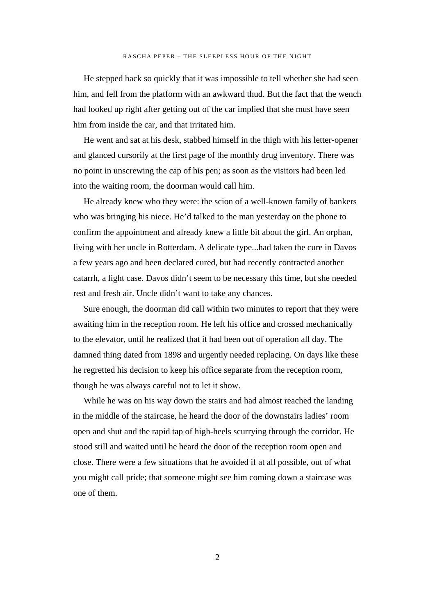He stepped back so quickly that it was impossible to tell whether she had seen him, and fell from the platform with an awkward thud. But the fact that the wench had looked up right after getting out of the car implied that she must have seen him from inside the car, and that irritated him.

He went and sat at his desk, stabbed himself in the thigh with his letter-opener and glanced cursorily at the first page of the monthly drug inventory. There was no point in unscrewing the cap of his pen; as soon as the visitors had been led into the waiting room, the doorman would call him.

He already knew who they were: the scion of a well-known family of bankers who was bringing his niece. He'd talked to the man yesterday on the phone to confirm the appointment and already knew a little bit about the girl. An orphan, living with her uncle in Rotterdam. A delicate type...had taken the cure in Davos a few years ago and been declared cured, but had recently contracted another catarrh, a light case. Davos didn't seem to be necessary this time, but she needed rest and fresh air. Uncle didn't want to take any chances.

Sure enough, the doorman did call within two minutes to report that they were awaiting him in the reception room. He left his office and crossed mechanically to the elevator, until he realized that it had been out of operation all day. The damned thing dated from 1898 and urgently needed replacing. On days like these he regretted his decision to keep his office separate from the reception room, though he was always careful not to let it show.

While he was on his way down the stairs and had almost reached the landing in the middle of the staircase, he heard the door of the downstairs ladies' room open and shut and the rapid tap of high-heels scurrying through the corridor. He stood still and waited until he heard the door of the reception room open and close. There were a few situations that he avoided if at all possible, out of what you might call pride; that someone might see him coming down a staircase was one of them.

 $\mathcal{L}$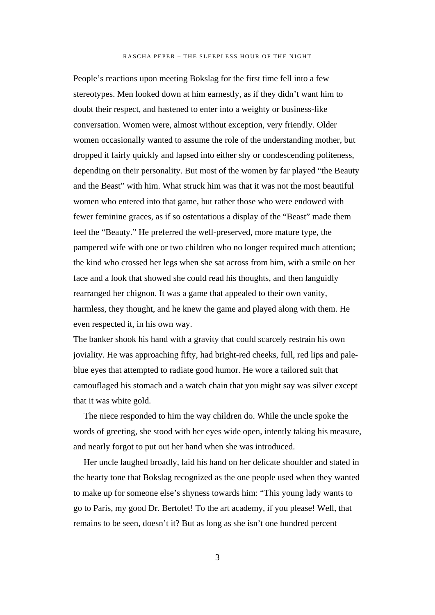#### RASCHA PEPER – THE SLEEPLESS HOUR OF THE NIGHT

People's reactions upon meeting Bokslag for the first time fell into a few stereotypes. Men looked down at him earnestly, as if they didn't want him to doubt their respect, and hastened to enter into a weighty or business-like conversation. Women were, almost without exception, very friendly. Older women occasionally wanted to assume the role of the understanding mother, but dropped it fairly quickly and lapsed into either shy or condescending politeness, depending on their personality. But most of the women by far played "the Beauty and the Beast" with him. What struck him was that it was not the most beautiful women who entered into that game, but rather those who were endowed with fewer feminine graces, as if so ostentatious a display of the "Beast" made them feel the "Beauty." He preferred the well-preserved, more mature type, the pampered wife with one or two children who no longer required much attention; the kind who crossed her legs when she sat across from him, with a smile on her face and a look that showed she could read his thoughts, and then languidly rearranged her chignon. It was a game that appealed to their own vanity, harmless, they thought, and he knew the game and played along with them. He even respected it, in his own way.

The banker shook his hand with a gravity that could scarcely restrain his own joviality. He was approaching fifty, had bright-red cheeks, full, red lips and paleblue eyes that attempted to radiate good humor. He wore a tailored suit that camouflaged his stomach and a watch chain that you might say was silver except that it was white gold.

The niece responded to him the way children do. While the uncle spoke the words of greeting, she stood with her eyes wide open, intently taking his measure, and nearly forgot to put out her hand when she was introduced.

Her uncle laughed broadly, laid his hand on her delicate shoulder and stated in the hearty tone that Bokslag recognized as the one people used when they wanted to make up for someone else's shyness towards him: "This young lady wants to go to Paris, my good Dr. Bertolet! To the art academy, if you please! Well, that remains to be seen, doesn't it? But as long as she isn't one hundred percent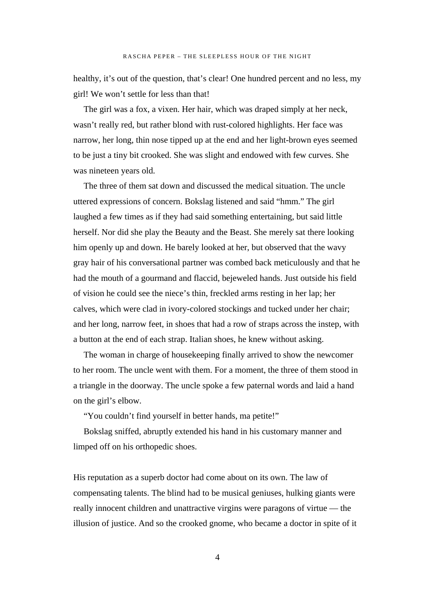healthy, it's out of the question, that's clear! One hundred percent and no less, my girl! We won't settle for less than that!

The girl was a fox, a vixen. Her hair, which was draped simply at her neck, wasn't really red, but rather blond with rust-colored highlights. Her face was narrow, her long, thin nose tipped up at the end and her light-brown eyes seemed to be just a tiny bit crooked. She was slight and endowed with few curves. She was nineteen years old.

The three of them sat down and discussed the medical situation. The uncle uttered expressions of concern. Bokslag listened and said "hmm." The girl laughed a few times as if they had said something entertaining, but said little herself. Nor did she play the Beauty and the Beast. She merely sat there looking him openly up and down. He barely looked at her, but observed that the wavy gray hair of his conversational partner was combed back meticulously and that he had the mouth of a gourmand and flaccid, bejeweled hands. Just outside his field of vision he could see the niece's thin, freckled arms resting in her lap; her calves, which were clad in ivory-colored stockings and tucked under her chair; and her long, narrow feet, in shoes that had a row of straps across the instep, with a button at the end of each strap. Italian shoes, he knew without asking.

The woman in charge of housekeeping finally arrived to show the newcomer to her room. The uncle went with them. For a moment, the three of them stood in a triangle in the doorway. The uncle spoke a few paternal words and laid a hand on the girl's elbow.

"You couldn't find yourself in better hands, ma petite!"

Bokslag sniffed, abruptly extended his hand in his customary manner and limped off on his orthopedic shoes.

His reputation as a superb doctor had come about on its own. The law of compensating talents. The blind had to be musical geniuses, hulking giants were really innocent children and unattractive virgins were paragons of virtue — the illusion of justice. And so the crooked gnome, who became a doctor in spite of it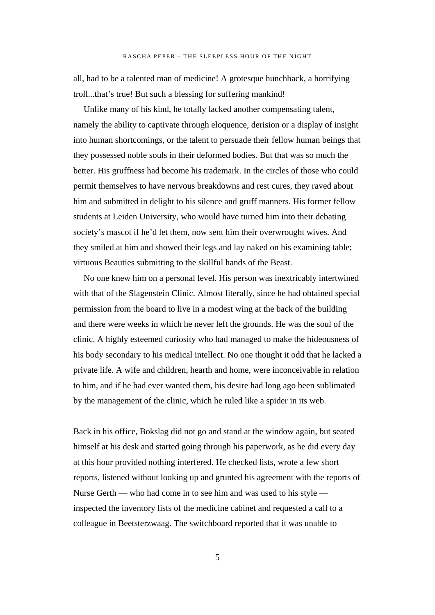all, had to be a talented man of medicine! A grotesque hunchback, a horrifying troll...that's true! But such a blessing for suffering mankind!

Unlike many of his kind, he totally lacked another compensating talent, namely the ability to captivate through eloquence, derision or a display of insight into human shortcomings, or the talent to persuade their fellow human beings that they possessed noble souls in their deformed bodies. But that was so much the better. His gruffness had become his trademark. In the circles of those who could permit themselves to have nervous breakdowns and rest cures, they raved about him and submitted in delight to his silence and gruff manners. His former fellow students at Leiden University, who would have turned him into their debating society's mascot if he'd let them, now sent him their overwrought wives. And they smiled at him and showed their legs and lay naked on his examining table; virtuous Beauties submitting to the skillful hands of the Beast.

No one knew him on a personal level. His person was inextricably intertwined with that of the Slagenstein Clinic. Almost literally, since he had obtained special permission from the board to live in a modest wing at the back of the building and there were weeks in which he never left the grounds. He was the soul of the clinic. A highly esteemed curiosity who had managed to make the hideousness of his body secondary to his medical intellect. No one thought it odd that he lacked a private life. A wife and children, hearth and home, were inconceivable in relation to him, and if he had ever wanted them, his desire had long ago been sublimated by the management of the clinic, which he ruled like a spider in its web.

Back in his office, Bokslag did not go and stand at the window again, but seated himself at his desk and started going through his paperwork, as he did every day at this hour provided nothing interfered. He checked lists, wrote a few short reports, listened without looking up and grunted his agreement with the reports of Nurse Gerth — who had come in to see him and was used to his style inspected the inventory lists of the medicine cabinet and requested a call to a colleague in Beetsterzwaag. The switchboard reported that it was unable to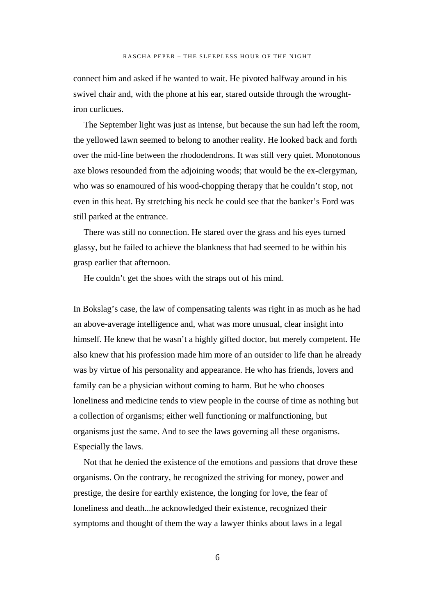connect him and asked if he wanted to wait. He pivoted halfway around in his swivel chair and, with the phone at his ear, stared outside through the wroughtiron curlicues.

The September light was just as intense, but because the sun had left the room, the yellowed lawn seemed to belong to another reality. He looked back and forth over the mid-line between the rhododendrons. It was still very quiet. Monotonous axe blows resounded from the adjoining woods; that would be the ex-clergyman, who was so enamoured of his wood-chopping therapy that he couldn't stop, not even in this heat. By stretching his neck he could see that the banker's Ford was still parked at the entrance.

There was still no connection. He stared over the grass and his eyes turned glassy, but he failed to achieve the blankness that had seemed to be within his grasp earlier that afternoon.

He couldn't get the shoes with the straps out of his mind.

In Bokslag's case, the law of compensating talents was right in as much as he had an above-average intelligence and, what was more unusual, clear insight into himself. He knew that he wasn't a highly gifted doctor, but merely competent. He also knew that his profession made him more of an outsider to life than he already was by virtue of his personality and appearance. He who has friends, lovers and family can be a physician without coming to harm. But he who chooses loneliness and medicine tends to view people in the course of time as nothing but a collection of organisms; either well functioning or malfunctioning, but organisms just the same. And to see the laws governing all these organisms. Especially the laws.

Not that he denied the existence of the emotions and passions that drove these organisms. On the contrary, he recognized the striving for money, power and prestige, the desire for earthly existence, the longing for love, the fear of loneliness and death...he acknowledged their existence, recognized their symptoms and thought of them the way a lawyer thinks about laws in a legal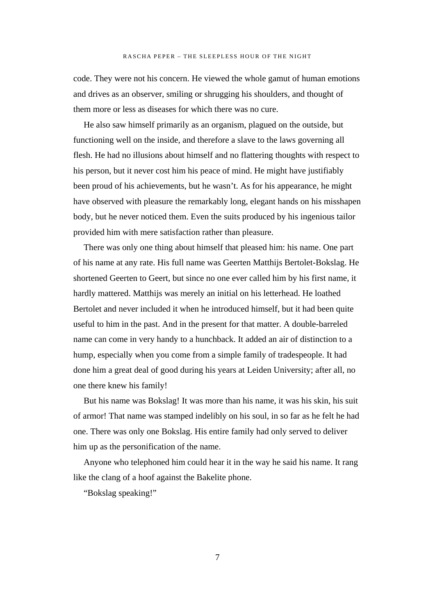code. They were not his concern. He viewed the whole gamut of human emotions and drives as an observer, smiling or shrugging his shoulders, and thought of them more or less as diseases for which there was no cure.

He also saw himself primarily as an organism, plagued on the outside, but functioning well on the inside, and therefore a slave to the laws governing all flesh. He had no illusions about himself and no flattering thoughts with respect to his person, but it never cost him his peace of mind. He might have justifiably been proud of his achievements, but he wasn't. As for his appearance, he might have observed with pleasure the remarkably long, elegant hands on his misshapen body, but he never noticed them. Even the suits produced by his ingenious tailor provided him with mere satisfaction rather than pleasure.

There was only one thing about himself that pleased him: his name. One part of his name at any rate. His full name was Geerten Matthijs Bertolet-Bokslag. He shortened Geerten to Geert, but since no one ever called him by his first name, it hardly mattered. Matthijs was merely an initial on his letterhead. He loathed Bertolet and never included it when he introduced himself, but it had been quite useful to him in the past. And in the present for that matter. A double-barreled name can come in very handy to a hunchback. It added an air of distinction to a hump, especially when you come from a simple family of tradespeople. It had done him a great deal of good during his years at Leiden University; after all, no one there knew his family!

But his name was Bokslag! It was more than his name, it was his skin, his suit of armor! That name was stamped indelibly on his soul, in so far as he felt he had one. There was only one Bokslag. His entire family had only served to deliver him up as the personification of the name.

Anyone who telephoned him could hear it in the way he said his name. It rang like the clang of a hoof against the Bakelite phone.

"Bokslag speaking!"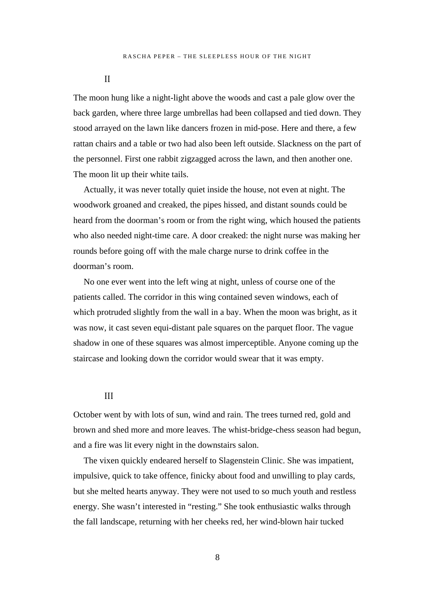II

The moon hung like a night-light above the woods and cast a pale glow over the back garden, where three large umbrellas had been collapsed and tied down. They stood arrayed on the lawn like dancers frozen in mid-pose. Here and there, a few rattan chairs and a table or two had also been left outside. Slackness on the part of the personnel. First one rabbit zigzagged across the lawn, and then another one. The moon lit up their white tails.

Actually, it was never totally quiet inside the house, not even at night. The woodwork groaned and creaked, the pipes hissed, and distant sounds could be heard from the doorman's room or from the right wing, which housed the patients who also needed night-time care. A door creaked: the night nurse was making her rounds before going off with the male charge nurse to drink coffee in the doorman's room.

No one ever went into the left wing at night, unless of course one of the patients called. The corridor in this wing contained seven windows, each of which protruded slightly from the wall in a bay. When the moon was bright, as it was now, it cast seven equi-distant pale squares on the parquet floor. The vague shadow in one of these squares was almost imperceptible. Anyone coming up the staircase and looking down the corridor would swear that it was empty.

#### III

October went by with lots of sun, wind and rain. The trees turned red, gold and brown and shed more and more leaves. The whist-bridge-chess season had begun, and a fire was lit every night in the downstairs salon.

The vixen quickly endeared herself to Slagenstein Clinic. She was impatient, impulsive, quick to take offence, finicky about food and unwilling to play cards, but she melted hearts anyway. They were not used to so much youth and restless energy. She wasn't interested in "resting." She took enthusiastic walks through the fall landscape, returning with her cheeks red, her wind-blown hair tucked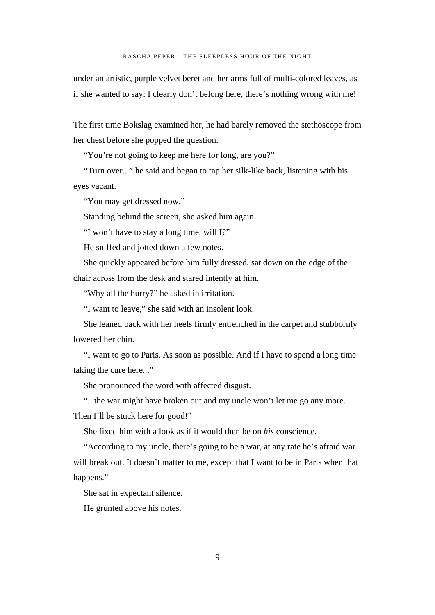under an artistic, purple velvet beret and her arms full of multi-colored leaves, as if she wanted to say: I clearly don't belong here, there's nothing wrong with me!

The first time Bokslag examined her, he had barely removed the stethoscope from her chest before she popped the question.

"You're not going to keep me here for long, are you?"

"Turn over..." he said and began to tap her silk-like back, listening with his eyes vacant.

"You may get dressed now."

Standing behind the screen, she asked him again.

"I won't have to stay a long time, will I?"

He sniffed and jotted down a few notes.

She quickly appeared before him fully dressed, sat down on the edge of the chair across from the desk and stared intently at him.

"Why all the hurry?" he asked in irritation.

"I want to leave," she said with an insolent look.

She leaned back with her heels firmly entrenched in the carpet and stubbornly lowered her chin.

"I want to go to Paris. As soon as possible. And if I have to spend a long time taking the cure here..."

She pronounced the word with affected disgust.

"...the war might have broken out and my uncle won't let me go any more.

Then I'll be stuck here for good!"

She fixed him with a look as if it would then be on *his* conscience.

"According to my uncle, there's going to be a war, at any rate he's afraid war will break out. It doesn't matter to me, except that I want to be in Paris when that happens."

She sat in expectant silence.

He grunted above his notes.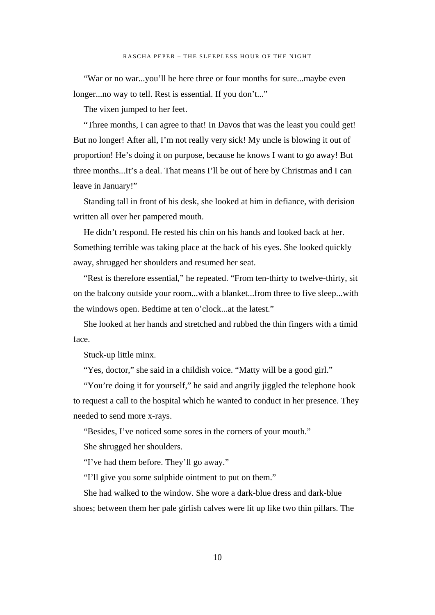"War or no war...you'll be here three or four months for sure...maybe even longer...no way to tell. Rest is essential. If you don't..."

The vixen jumped to her feet.

"Three months, I can agree to that! In Davos that was the least you could get! But no longer! After all, I'm not really very sick! My uncle is blowing it out of proportion! He's doing it on purpose, because he knows I want to go away! But three months...It's a deal. That means I'll be out of here by Christmas and I can leave in January!"

Standing tall in front of his desk, she looked at him in defiance, with derision written all over her pampered mouth.

He didn't respond. He rested his chin on his hands and looked back at her. Something terrible was taking place at the back of his eyes. She looked quickly away, shrugged her shoulders and resumed her seat.

"Rest is therefore essential," he repeated. "From ten-thirty to twelve-thirty, sit on the balcony outside your room...with a blanket...from three to five sleep...with the windows open. Bedtime at ten o'clock...at the latest."

She looked at her hands and stretched and rubbed the thin fingers with a timid face.

Stuck-up little minx.

"Yes, doctor," she said in a childish voice. "Matty will be a good girl."

"You're doing it for yourself," he said and angrily jiggled the telephone hook to request a call to the hospital which he wanted to conduct in her presence. They needed to send more x-rays.

"Besides, I've noticed some sores in the corners of your mouth."

She shrugged her shoulders.

"I've had them before. They'll go away."

"I'll give you some sulphide ointment to put on them."

She had walked to the window. She wore a dark-blue dress and dark-blue shoes; between them her pale girlish calves were lit up like two thin pillars. The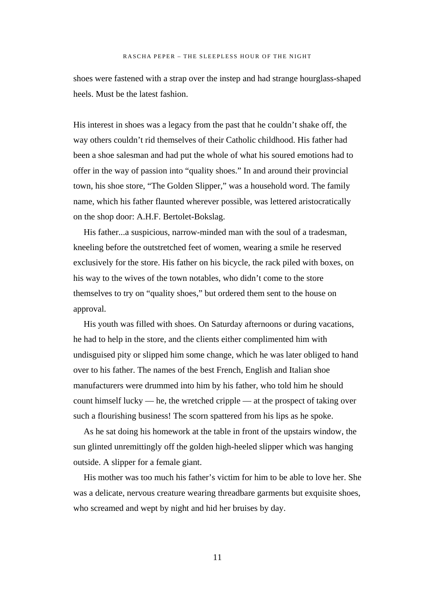shoes were fastened with a strap over the instep and had strange hourglass-shaped heels. Must be the latest fashion.

His interest in shoes was a legacy from the past that he couldn't shake off, the way others couldn't rid themselves of their Catholic childhood. His father had been a shoe salesman and had put the whole of what his soured emotions had to offer in the way of passion into "quality shoes." In and around their provincial town, his shoe store, "The Golden Slipper," was a household word. The family name, which his father flaunted wherever possible, was lettered aristocratically on the shop door: A.H.F. Bertolet-Bokslag.

His father...a suspicious, narrow-minded man with the soul of a tradesman, kneeling before the outstretched feet of women, wearing a smile he reserved exclusively for the store. His father on his bicycle, the rack piled with boxes, on his way to the wives of the town notables, who didn't come to the store themselves to try on "quality shoes," but ordered them sent to the house on approval.

His youth was filled with shoes. On Saturday afternoons or during vacations, he had to help in the store, and the clients either complimented him with undisguised pity or slipped him some change, which he was later obliged to hand over to his father. The names of the best French, English and Italian shoe manufacturers were drummed into him by his father, who told him he should count himself lucky — he, the wretched cripple — at the prospect of taking over such a flourishing business! The scorn spattered from his lips as he spoke.

As he sat doing his homework at the table in front of the upstairs window, the sun glinted unremittingly off the golden high-heeled slipper which was hanging outside. A slipper for a female giant.

His mother was too much his father's victim for him to be able to love her. She was a delicate, nervous creature wearing threadbare garments but exquisite shoes, who screamed and wept by night and hid her bruises by day.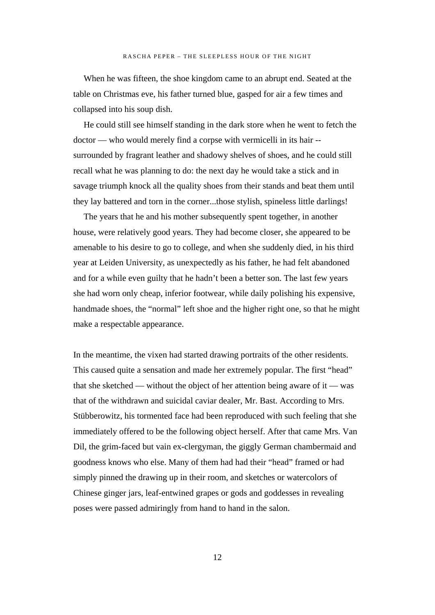When he was fifteen, the shoe kingdom came to an abrupt end. Seated at the table on Christmas eve, his father turned blue, gasped for air a few times and collapsed into his soup dish.

He could still see himself standing in the dark store when he went to fetch the doctor — who would merely find a corpse with vermicelli in its hair - surrounded by fragrant leather and shadowy shelves of shoes, and he could still recall what he was planning to do: the next day he would take a stick and in savage triumph knock all the quality shoes from their stands and beat them until they lay battered and torn in the corner...those stylish, spineless little darlings!

The years that he and his mother subsequently spent together, in another house, were relatively good years. They had become closer, she appeared to be amenable to his desire to go to college, and when she suddenly died, in his third year at Leiden University, as unexpectedly as his father, he had felt abandoned and for a while even guilty that he hadn't been a better son. The last few years she had worn only cheap, inferior footwear, while daily polishing his expensive, handmade shoes, the "normal" left shoe and the higher right one, so that he might make a respectable appearance.

In the meantime, the vixen had started drawing portraits of the other residents. This caused quite a sensation and made her extremely popular. The first "head" that she sketched — without the object of her attention being aware of it — was that of the withdrawn and suicidal caviar dealer, Mr. Bast. According to Mrs. Stübberowitz, his tormented face had been reproduced with such feeling that she immediately offered to be the following object herself. After that came Mrs. Van Dil, the grim-faced but vain ex-clergyman, the giggly German chambermaid and goodness knows who else. Many of them had had their "head" framed or had simply pinned the drawing up in their room, and sketches or watercolors of Chinese ginger jars, leaf-entwined grapes or gods and goddesses in revealing poses were passed admiringly from hand to hand in the salon.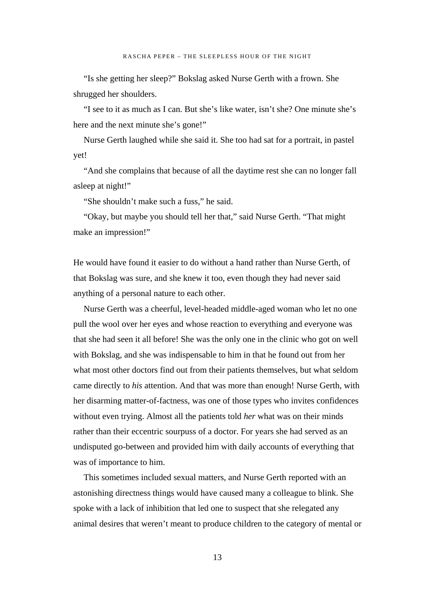"Is she getting her sleep?" Bokslag asked Nurse Gerth with a frown. She shrugged her shoulders.

"I see to it as much as I can. But she's like water, isn't she? One minute she's here and the next minute she's gone!"

Nurse Gerth laughed while she said it. She too had sat for a portrait, in pastel yet!

"And she complains that because of all the daytime rest she can no longer fall asleep at night!"

"She shouldn't make such a fuss," he said.

"Okay, but maybe you should tell her that," said Nurse Gerth. "That might make an impression!"

He would have found it easier to do without a hand rather than Nurse Gerth, of that Bokslag was sure, and she knew it too, even though they had never said anything of a personal nature to each other.

Nurse Gerth was a cheerful, level-headed middle-aged woman who let no one pull the wool over her eyes and whose reaction to everything and everyone was that she had seen it all before! She was the only one in the clinic who got on well with Bokslag, and she was indispensable to him in that he found out from her what most other doctors find out from their patients themselves, but what seldom came directly to *his* attention. And that was more than enough! Nurse Gerth, with her disarming matter-of-factness, was one of those types who invites confidences without even trying. Almost all the patients told *her* what was on their minds rather than their eccentric sourpuss of a doctor. For years she had served as an undisputed go-between and provided him with daily accounts of everything that was of importance to him.

This sometimes included sexual matters, and Nurse Gerth reported with an astonishing directness things would have caused many a colleague to blink. She spoke with a lack of inhibition that led one to suspect that she relegated any animal desires that weren't meant to produce children to the category of mental or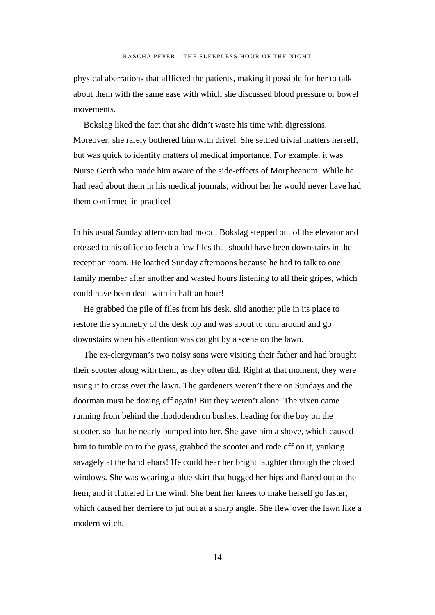physical aberrations that afflicted the patients, making it possible for her to talk about them with the same ease with which she discussed blood pressure or bowel movements.

Bokslag liked the fact that she didn't waste his time with digressions. Moreover, she rarely bothered him with drivel. She settled trivial matters herself, but was quick to identify matters of medical importance. For example, it was Nurse Gerth who made him aware of the side-effects of Morpheanum. While he had read about them in his medical journals, without her he would never have had them confirmed in practice!

In his usual Sunday afternoon bad mood, Bokslag stepped out of the elevator and crossed to his office to fetch a few files that should have been downstairs in the reception room. He loathed Sunday afternoons because he had to talk to one family member after another and wasted hours listening to all their gripes, which could have been dealt with in half an hour!

He grabbed the pile of files from his desk, slid another pile in its place to restore the symmetry of the desk top and was about to turn around and go downstairs when his attention was caught by a scene on the lawn.

The ex-clergyman's two noisy sons were visiting their father and had brought their scooter along with them, as they often did. Right at that moment, they were using it to cross over the lawn. The gardeners weren't there on Sundays and the doorman must be dozing off again! But they weren't alone. The vixen came running from behind the rhododendron bushes, heading for the boy on the scooter, so that he nearly bumped into her. She gave him a shove, which caused him to tumble on to the grass, grabbed the scooter and rode off on it, yanking savagely at the handlebars! He could hear her bright laughter through the closed windows. She was wearing a blue skirt that hugged her hips and flared out at the hem, and it fluttered in the wind. She bent her knees to make herself go faster, which caused her derriere to jut out at a sharp angle. She flew over the lawn like a modern witch.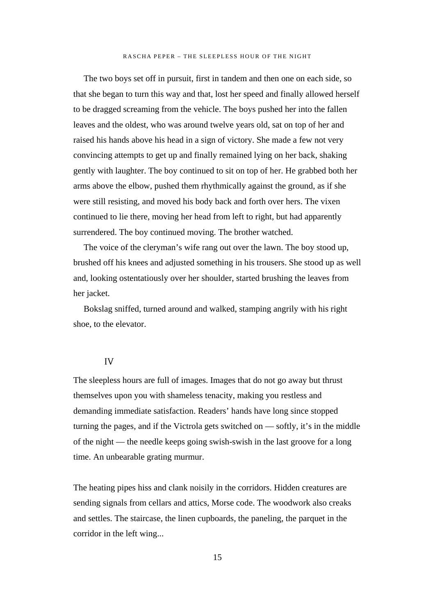The two boys set off in pursuit, first in tandem and then one on each side, so that she began to turn this way and that, lost her speed and finally allowed herself to be dragged screaming from the vehicle. The boys pushed her into the fallen leaves and the oldest, who was around twelve years old, sat on top of her and raised his hands above his head in a sign of victory. She made a few not very convincing attempts to get up and finally remained lying on her back, shaking gently with laughter. The boy continued to sit on top of her. He grabbed both her arms above the elbow, pushed them rhythmically against the ground, as if she were still resisting, and moved his body back and forth over hers. The vixen continued to lie there, moving her head from left to right, but had apparently surrendered. The boy continued moving. The brother watched.

The voice of the cleryman's wife rang out over the lawn. The boy stood up, brushed off his knees and adjusted something in his trousers. She stood up as well and, looking ostentatiously over her shoulder, started brushing the leaves from her jacket.

Bokslag sniffed, turned around and walked, stamping angrily with his right shoe, to the elevator.

#### IV

The sleepless hours are full of images. Images that do not go away but thrust themselves upon you with shameless tenacity, making you restless and demanding immediate satisfaction. Readers' hands have long since stopped turning the pages, and if the Victrola gets switched on — softly, it's in the middle of the night — the needle keeps going swish-swish in the last groove for a long time. An unbearable grating murmur.

The heating pipes hiss and clank noisily in the corridors. Hidden creatures are sending signals from cellars and attics, Morse code. The woodwork also creaks and settles. The staircase, the linen cupboards, the paneling, the parquet in the corridor in the left wing...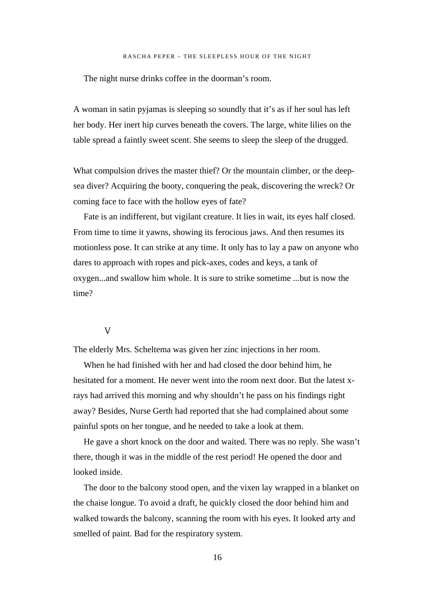The night nurse drinks coffee in the doorman's room.

A woman in satin pyjamas is sleeping so soundly that it's as if her soul has left her body. Her inert hip curves beneath the covers. The large, white lilies on the table spread a faintly sweet scent. She seems to sleep the sleep of the drugged.

What compulsion drives the master thief? Or the mountain climber, or the deepsea diver? Acquiring the booty, conquering the peak, discovering the wreck? Or coming face to face with the hollow eyes of fate?

Fate is an indifferent, but vigilant creature. It lies in wait, its eyes half closed. From time to time it yawns, showing its ferocious jaws. And then resumes its motionless pose. It can strike at any time. It only has to lay a paw on anyone who dares to approach with ropes and pick-axes, codes and keys, a tank of oxygen...and swallow him whole. It is sure to strike sometime ...but is now the time?

#### V

The elderly Mrs. Scheltema was given her zinc injections in her room.

When he had finished with her and had closed the door behind him, he hesitated for a moment. He never went into the room next door. But the latest xrays had arrived this morning and why shouldn't he pass on his findings right away? Besides, Nurse Gerth had reported that she had complained about some painful spots on her tongue, and he needed to take a look at them.

He gave a short knock on the door and waited. There was no reply. She wasn't there, though it was in the middle of the rest period! He opened the door and looked inside.

The door to the balcony stood open, and the vixen lay wrapped in a blanket on the chaise longue. To avoid a draft, he quickly closed the door behind him and walked towards the balcony, scanning the room with his eyes. It looked arty and smelled of paint. Bad for the respiratory system.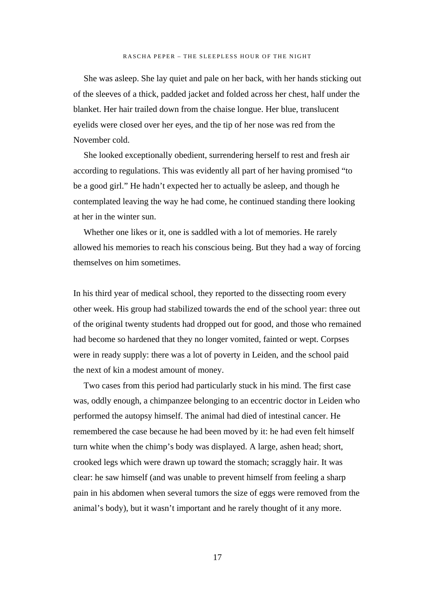She was asleep. She lay quiet and pale on her back, with her hands sticking out of the sleeves of a thick, padded jacket and folded across her chest, half under the blanket. Her hair trailed down from the chaise longue. Her blue, translucent eyelids were closed over her eyes, and the tip of her nose was red from the November cold.

She looked exceptionally obedient, surrendering herself to rest and fresh air according to regulations. This was evidently all part of her having promised "to be a good girl." He hadn't expected her to actually be asleep, and though he contemplated leaving the way he had come, he continued standing there looking at her in the winter sun.

Whether one likes or it, one is saddled with a lot of memories. He rarely allowed his memories to reach his conscious being. But they had a way of forcing themselves on him sometimes.

In his third year of medical school, they reported to the dissecting room every other week. His group had stabilized towards the end of the school year: three out of the original twenty students had dropped out for good, and those who remained had become so hardened that they no longer vomited, fainted or wept. Corpses were in ready supply: there was a lot of poverty in Leiden, and the school paid the next of kin a modest amount of money.

Two cases from this period had particularly stuck in his mind. The first case was, oddly enough, a chimpanzee belonging to an eccentric doctor in Leiden who performed the autopsy himself. The animal had died of intestinal cancer. He remembered the case because he had been moved by it: he had even felt himself turn white when the chimp's body was displayed. A large, ashen head; short, crooked legs which were drawn up toward the stomach; scraggly hair. It was clear: he saw himself (and was unable to prevent himself from feeling a sharp pain in his abdomen when several tumors the size of eggs were removed from the animal's body), but it wasn't important and he rarely thought of it any more.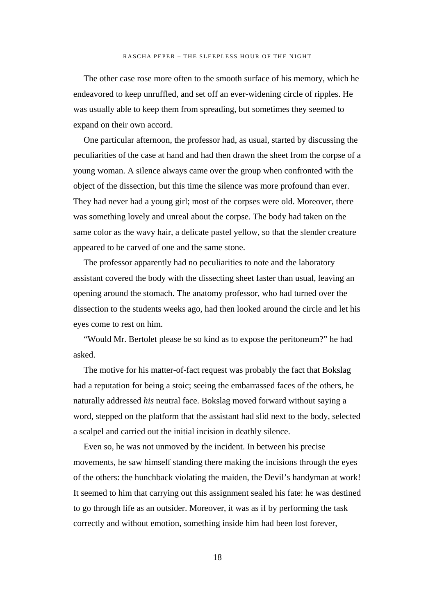The other case rose more often to the smooth surface of his memory, which he endeavored to keep unruffled, and set off an ever-widening circle of ripples. He was usually able to keep them from spreading, but sometimes they seemed to expand on their own accord.

One particular afternoon, the professor had, as usual, started by discussing the peculiarities of the case at hand and had then drawn the sheet from the corpse of a young woman. A silence always came over the group when confronted with the object of the dissection, but this time the silence was more profound than ever. They had never had a young girl; most of the corpses were old. Moreover, there was something lovely and unreal about the corpse. The body had taken on the same color as the wavy hair, a delicate pastel yellow, so that the slender creature appeared to be carved of one and the same stone.

The professor apparently had no peculiarities to note and the laboratory assistant covered the body with the dissecting sheet faster than usual, leaving an opening around the stomach. The anatomy professor, who had turned over the dissection to the students weeks ago, had then looked around the circle and let his eyes come to rest on him.

"Would Mr. Bertolet please be so kind as to expose the peritoneum?" he had asked.

The motive for his matter-of-fact request was probably the fact that Bokslag had a reputation for being a stoic; seeing the embarrassed faces of the others, he naturally addressed *his* neutral face. Bokslag moved forward without saying a word, stepped on the platform that the assistant had slid next to the body, selected a scalpel and carried out the initial incision in deathly silence.

Even so, he was not unmoved by the incident. In between his precise movements, he saw himself standing there making the incisions through the eyes of the others: the hunchback violating the maiden, the Devil's handyman at work! It seemed to him that carrying out this assignment sealed his fate: he was destined to go through life as an outsider. Moreover, it was as if by performing the task correctly and without emotion, something inside him had been lost forever,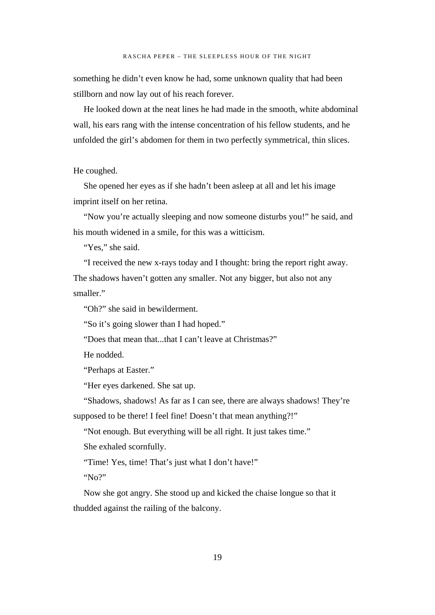something he didn't even know he had, some unknown quality that had been stillborn and now lay out of his reach forever.

He looked down at the neat lines he had made in the smooth, white abdominal wall, his ears rang with the intense concentration of his fellow students, and he unfolded the girl's abdomen for them in two perfectly symmetrical, thin slices.

#### He coughed.

She opened her eyes as if she hadn't been asleep at all and let his image imprint itself on her retina.

"Now you're actually sleeping and now someone disturbs you!" he said, and his mouth widened in a smile, for this was a witticism.

"Yes," she said.

"I received the new x-rays today and I thought: bring the report right away. The shadows haven't gotten any smaller. Not any bigger, but also not any smaller."

"Oh?" she said in bewilderment.

"So it's going slower than I had hoped."

"Does that mean that...that I can't leave at Christmas?"

He nodded.

"Perhaps at Easter."

"Her eyes darkened. She sat up.

"Shadows, shadows! As far as I can see, there are always shadows! They're supposed to be there! I feel fine! Doesn't that mean anything?!"

"Not enough. But everything will be all right. It just takes time."

She exhaled scornfully.

"Time! Yes, time! That's just what I don't have!"

"No?"

Now she got angry. She stood up and kicked the chaise longue so that it thudded against the railing of the balcony.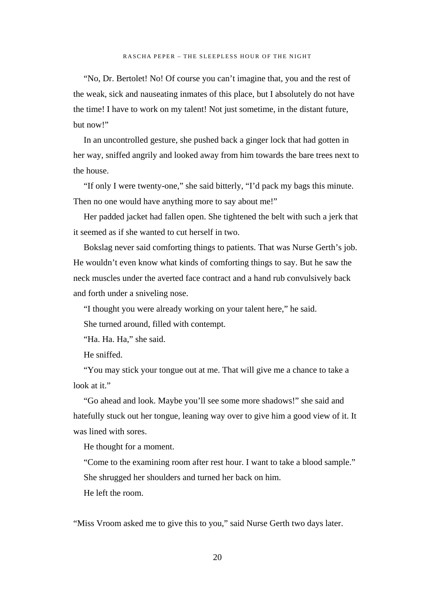"No, Dr. Bertolet! No! Of course you can't imagine that, you and the rest of the weak, sick and nauseating inmates of this place, but I absolutely do not have the time! I have to work on my talent! Not just sometime, in the distant future, but now!"

In an uncontrolled gesture, she pushed back a ginger lock that had gotten in her way, sniffed angrily and looked away from him towards the bare trees next to the house.

"If only I were twenty-one," she said bitterly, "I'd pack my bags this minute. Then no one would have anything more to say about me!"

Her padded jacket had fallen open. She tightened the belt with such a jerk that it seemed as if she wanted to cut herself in two.

Bokslag never said comforting things to patients. That was Nurse Gerth's job. He wouldn't even know what kinds of comforting things to say. But he saw the neck muscles under the averted face contract and a hand rub convulsively back and forth under a sniveling nose.

"I thought you were already working on your talent here," he said.

She turned around, filled with contempt.

"Ha. Ha. Ha," she said.

He sniffed.

"You may stick your tongue out at me. That will give me a chance to take a look at it."

"Go ahead and look. Maybe you'll see some more shadows!" she said and hatefully stuck out her tongue, leaning way over to give him a good view of it. It was lined with sores.

He thought for a moment.

"Come to the examining room after rest hour. I want to take a blood sample." She shrugged her shoulders and turned her back on him.

He left the room.

"Miss Vroom asked me to give this to you," said Nurse Gerth two days later.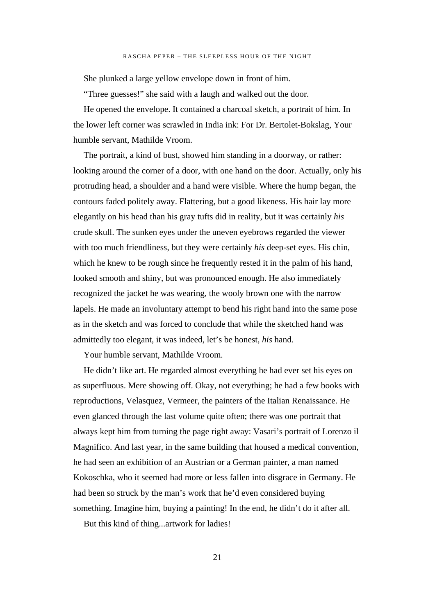She plunked a large yellow envelope down in front of him.

"Three guesses!" she said with a laugh and walked out the door.

He opened the envelope. It contained a charcoal sketch, a portrait of him. In the lower left corner was scrawled in India ink: For Dr. Bertolet-Bokslag, Your humble servant, Mathilde Vroom.

The portrait, a kind of bust, showed him standing in a doorway, or rather: looking around the corner of a door, with one hand on the door. Actually, only his protruding head, a shoulder and a hand were visible. Where the hump began, the contours faded politely away. Flattering, but a good likeness. His hair lay more elegantly on his head than his gray tufts did in reality, but it was certainly *his* crude skull. The sunken eyes under the uneven eyebrows regarded the viewer with too much friendliness, but they were certainly *his* deep-set eyes. His chin, which he knew to be rough since he frequently rested it in the palm of his hand, looked smooth and shiny, but was pronounced enough. He also immediately recognized the jacket he was wearing, the wooly brown one with the narrow lapels. He made an involuntary attempt to bend his right hand into the same pose as in the sketch and was forced to conclude that while the sketched hand was admittedly too elegant, it was indeed, let's be honest, *his* hand.

Your humble servant, Mathilde Vroom.

He didn't like art. He regarded almost everything he had ever set his eyes on as superfluous. Mere showing off. Okay, not everything; he had a few books with reproductions, Velasquez, Vermeer, the painters of the Italian Renaissance. He even glanced through the last volume quite often; there was one portrait that always kept him from turning the page right away: Vasari's portrait of Lorenzo il Magnifico. And last year, in the same building that housed a medical convention, he had seen an exhibition of an Austrian or a German painter, a man named Kokoschka, who it seemed had more or less fallen into disgrace in Germany. He had been so struck by the man's work that he'd even considered buying something. Imagine him, buying a painting! In the end, he didn't do it after all.

But this kind of thing...artwork for ladies!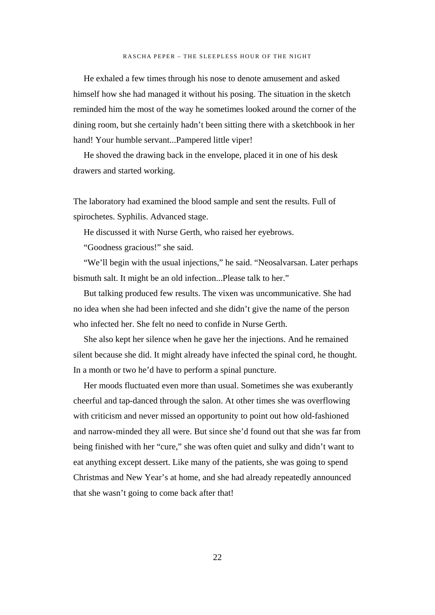He exhaled a few times through his nose to denote amusement and asked himself how she had managed it without his posing. The situation in the sketch reminded him the most of the way he sometimes looked around the corner of the dining room, but she certainly hadn't been sitting there with a sketchbook in her hand! Your humble servant...Pampered little viper!

He shoved the drawing back in the envelope, placed it in one of his desk drawers and started working.

The laboratory had examined the blood sample and sent the results. Full of spirochetes. Syphilis. Advanced stage.

He discussed it with Nurse Gerth, who raised her eyebrows.

"Goodness gracious!" she said.

"We'll begin with the usual injections," he said. "Neosalvarsan. Later perhaps bismuth salt. It might be an old infection...Please talk to her."

But talking produced few results. The vixen was uncommunicative. She had no idea when she had been infected and she didn't give the name of the person who infected her. She felt no need to confide in Nurse Gerth.

She also kept her silence when he gave her the injections. And he remained silent because she did. It might already have infected the spinal cord, he thought. In a month or two he'd have to perform a spinal puncture.

Her moods fluctuated even more than usual. Sometimes she was exuberantly cheerful and tap-danced through the salon. At other times she was overflowing with criticism and never missed an opportunity to point out how old-fashioned and narrow-minded they all were. But since she'd found out that she was far from being finished with her "cure," she was often quiet and sulky and didn't want to eat anything except dessert. Like many of the patients, she was going to spend Christmas and New Year's at home, and she had already repeatedly announced that she wasn't going to come back after that!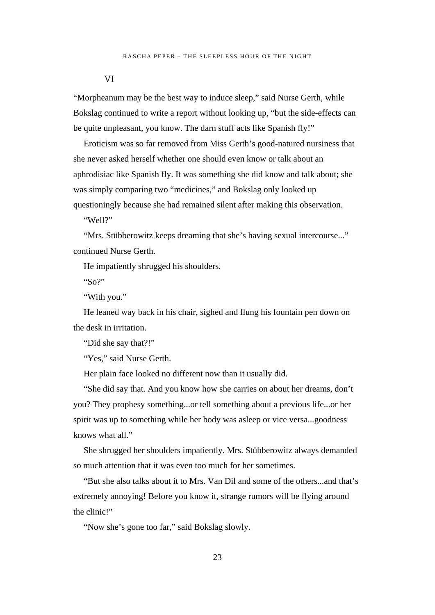VI

"Morpheanum may be the best way to induce sleep," said Nurse Gerth, while Bokslag continued to write a report without looking up, "but the side-effects can be quite unpleasant, you know. The darn stuff acts like Spanish fly!"

Eroticism was so far removed from Miss Gerth's good-natured nursiness that she never asked herself whether one should even know or talk about an aphrodisiac like Spanish fly. It was something she did know and talk about; she was simply comparing two "medicines," and Bokslag only looked up questioningly because she had remained silent after making this observation.

"Well?"

"Mrs. Stübberowitz keeps dreaming that she's having sexual intercourse..." continued Nurse Gerth.

He impatiently shrugged his shoulders.

"So?"

"With you."

He leaned way back in his chair, sighed and flung his fountain pen down on the desk in irritation.

"Did she say that?!"

"Yes," said Nurse Gerth.

Her plain face looked no different now than it usually did.

"She did say that. And you know how she carries on about her dreams, don't you? They prophesy something...or tell something about a previous life...or her spirit was up to something while her body was asleep or vice versa...goodness knows what all."

She shrugged her shoulders impatiently. Mrs. Stübberowitz always demanded so much attention that it was even too much for her sometimes.

"But she also talks about it to Mrs. Van Dil and some of the others...and that's extremely annoying! Before you know it, strange rumors will be flying around the clinic!"

"Now she's gone too far," said Bokslag slowly.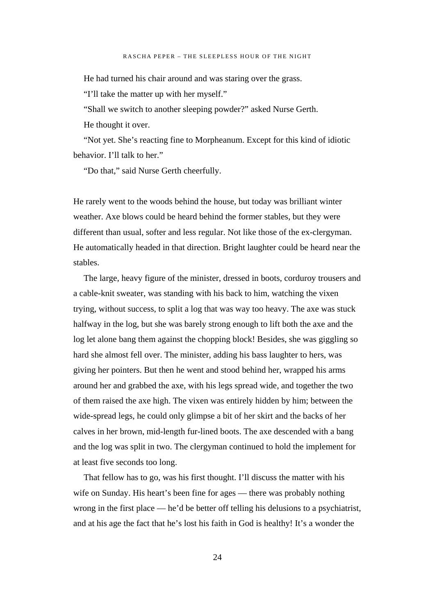He had turned his chair around and was staring over the grass.

"I'll take the matter up with her myself."

"Shall we switch to another sleeping powder?" asked Nurse Gerth.

He thought it over.

"Not yet. She's reacting fine to Morpheanum. Except for this kind of idiotic behavior. I'll talk to her."

"Do that," said Nurse Gerth cheerfully.

He rarely went to the woods behind the house, but today was brilliant winter weather. Axe blows could be heard behind the former stables, but they were different than usual, softer and less regular. Not like those of the ex-clergyman. He automatically headed in that direction. Bright laughter could be heard near the stables.

The large, heavy figure of the minister, dressed in boots, corduroy trousers and a cable-knit sweater, was standing with his back to him, watching the vixen trying, without success, to split a log that was way too heavy. The axe was stuck halfway in the log, but she was barely strong enough to lift both the axe and the log let alone bang them against the chopping block! Besides, she was giggling so hard she almost fell over. The minister, adding his bass laughter to hers, was giving her pointers. But then he went and stood behind her, wrapped his arms around her and grabbed the axe, with his legs spread wide, and together the two of them raised the axe high. The vixen was entirely hidden by him; between the wide-spread legs, he could only glimpse a bit of her skirt and the backs of her calves in her brown, mid-length fur-lined boots. The axe descended with a bang and the log was split in two. The clergyman continued to hold the implement for at least five seconds too long.

That fellow has to go, was his first thought. I'll discuss the matter with his wife on Sunday. His heart's been fine for ages — there was probably nothing wrong in the first place — he'd be better off telling his delusions to a psychiatrist, and at his age the fact that he's lost his faith in God is healthy! It's a wonder the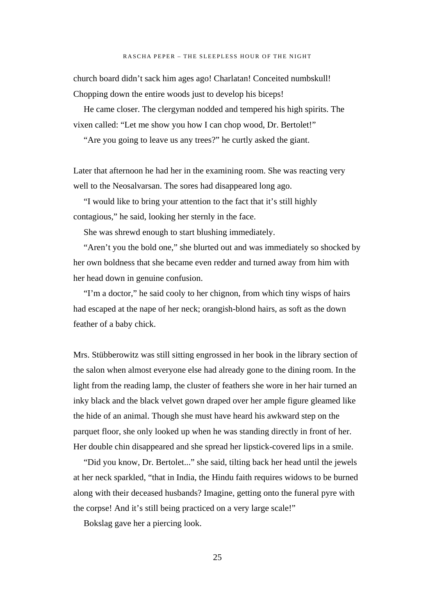church board didn't sack him ages ago! Charlatan! Conceited numbskull! Chopping down the entire woods just to develop his biceps!

He came closer. The clergyman nodded and tempered his high spirits. The vixen called: "Let me show you how I can chop wood, Dr. Bertolet!"

"Are you going to leave us any trees?" he curtly asked the giant.

Later that afternoon he had her in the examining room. She was reacting very well to the Neosalvarsan. The sores had disappeared long ago.

"I would like to bring your attention to the fact that it's still highly contagious," he said, looking her sternly in the face.

She was shrewd enough to start blushing immediately.

"Aren't you the bold one," she blurted out and was immediately so shocked by her own boldness that she became even redder and turned away from him with her head down in genuine confusion.

"I'm a doctor," he said cooly to her chignon, from which tiny wisps of hairs had escaped at the nape of her neck; orangish-blond hairs, as soft as the down feather of a baby chick.

Mrs. Stübberowitz was still sitting engrossed in her book in the library section of the salon when almost everyone else had already gone to the dining room. In the light from the reading lamp, the cluster of feathers she wore in her hair turned an inky black and the black velvet gown draped over her ample figure gleamed like the hide of an animal. Though she must have heard his awkward step on the parquet floor, she only looked up when he was standing directly in front of her. Her double chin disappeared and she spread her lipstick-covered lips in a smile.

"Did you know, Dr. Bertolet..." she said, tilting back her head until the jewels at her neck sparkled, "that in India, the Hindu faith requires widows to be burned along with their deceased husbands? Imagine, getting onto the funeral pyre with the corpse! And it's still being practiced on a very large scale!"

Bokslag gave her a piercing look.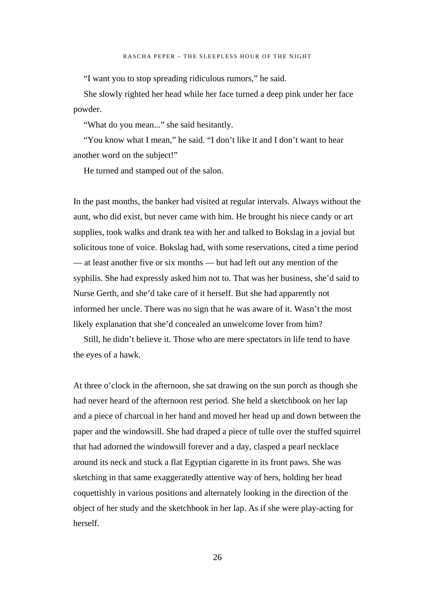"I want you to stop spreading ridiculous rumors," he said.

She slowly righted her head while her face turned a deep pink under her face powder.

"What do you mean..." she said hesitantly.

"You know what I mean," he said. "I don't like it and I don't want to hear another word on the subject!"

He turned and stamped out of the salon.

In the past months, the banker had visited at regular intervals. Always without the aunt, who did exist, but never came with him. He brought his niece candy or art supplies, took walks and drank tea with her and talked to Bokslag in a jovial but solicitous tone of voice. Bokslag had, with some reservations, cited a time period — at least another five or six months — but had left out any mention of the syphilis. She had expressly asked him not to. That was her business, she'd said to Nurse Gerth, and she'd take care of it herself. But she had apparently not informed her uncle. There was no sign that he was aware of it. Wasn't the most likely explanation that she'd concealed an unwelcome lover from him?

Still, he didn't believe it. Those who are mere spectators in life tend to have the eyes of a hawk.

At three o'clock in the afternoon, she sat drawing on the sun porch as though she had never heard of the afternoon rest period. She held a sketchbook on her lap and a piece of charcoal in her hand and moved her head up and down between the paper and the windowsill. She had draped a piece of tulle over the stuffed squirrel that had adorned the windowsill forever and a day, clasped a pearl necklace around its neck and stuck a flat Egyptian cigarette in its front paws. She was sketching in that same exaggeratedly attentive way of hers, holding her head coquettishly in various positions and alternately looking in the direction of the object of her study and the sketchbook in her lap. As if she were play-acting for herself.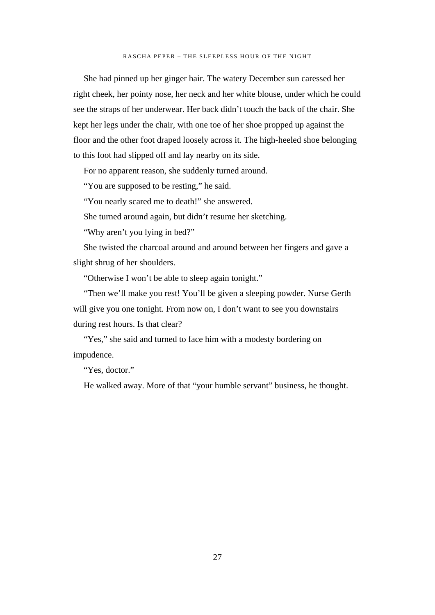She had pinned up her ginger hair. The watery December sun caressed her right cheek, her pointy nose, her neck and her white blouse, under which he could see the straps of her underwear. Her back didn't touch the back of the chair. She kept her legs under the chair, with one toe of her shoe propped up against the floor and the other foot draped loosely across it. The high-heeled shoe belonging to this foot had slipped off and lay nearby on its side.

For no apparent reason, she suddenly turned around.

"You are supposed to be resting," he said.

"You nearly scared me to death!" she answered.

She turned around again, but didn't resume her sketching.

"Why aren't you lying in bed?"

She twisted the charcoal around and around between her fingers and gave a slight shrug of her shoulders.

"Otherwise I won't be able to sleep again tonight."

"Then we'll make you rest! You'll be given a sleeping powder. Nurse Gerth will give you one tonight. From now on, I don't want to see you downstairs during rest hours. Is that clear?

"Yes," she said and turned to face him with a modesty bordering on impudence.

"Yes, doctor."

He walked away. More of that "your humble servant" business, he thought.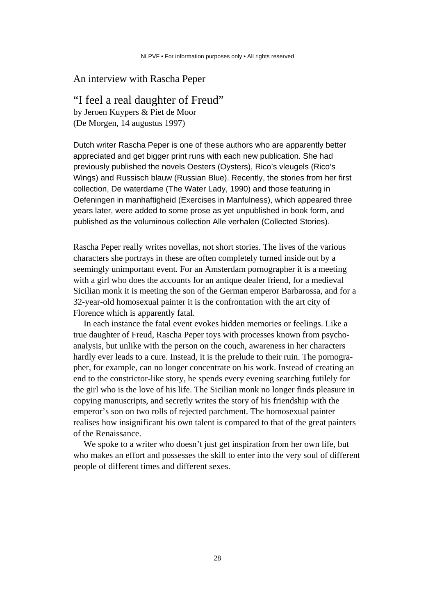## An interview with Rascha Peper

### "I feel a real daughter of Freud"

by Jeroen Kuypers & Piet de Moor (De Morgen, 14 augustus 1997)

Dutch writer Rascha Peper is one of these authors who are apparently better appreciated and get bigger print runs with each new publication. She had previously published the novels Oesters (Oysters), Rico's vleugels (Rico's Wings) and Russisch blauw (Russian Blue). Recently, the stories from her first collection, De waterdame (The Water Lady, 1990) and those featuring in Oefeningen in manhaftigheid (Exercises in Manfulness), which appeared three years later, were added to some prose as yet unpublished in book form, and published as the voluminous collection Alle verhalen (Collected Stories).

Rascha Peper really writes novellas, not short stories. The lives of the various characters she portrays in these are often completely turned inside out by a seemingly unimportant event. For an Amsterdam pornographer it is a meeting with a girl who does the accounts for an antique dealer friend, for a medieval Sicilian monk it is meeting the son of the German emperor Barbarossa, and for a 32-year-old homosexual painter it is the confrontation with the art city of Florence which is apparently fatal.

In each instance the fatal event evokes hidden memories or feelings. Like a true daughter of Freud, Rascha Peper toys with processes known from psychoanalysis, but unlike with the person on the couch, awareness in her characters hardly ever leads to a cure. Instead, it is the prelude to their ruin. The pornographer, for example, can no longer concentrate on his work. Instead of creating an end to the constrictor-like story, he spends every evening searching futilely for the girl who is the love of his life. The Sicilian monk no longer finds pleasure in copying manuscripts, and secretly writes the story of his friendship with the emperor's son on two rolls of rejected parchment. The homosexual painter realises how insignificant his own talent is compared to that of the great painters of the Renaissance.

We spoke to a writer who doesn't just get inspiration from her own life, but who makes an effort and possesses the skill to enter into the very soul of different people of different times and different sexes.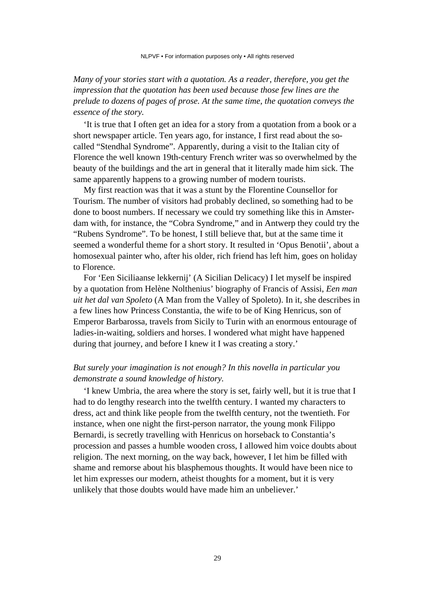*Many of your stories start with a quotation. As a reader, therefore, you get the impression that the quotation has been used because those few lines are the prelude to dozens of pages of prose. At the same time, the quotation conveys the essence of the story.*

'It is true that I often get an idea for a story from a quotation from a book or a short newspaper article. Ten years ago, for instance, I first read about the socalled "Stendhal Syndrome". Apparently, during a visit to the Italian city of Florence the well known 19th-century French writer was so overwhelmed by the beauty of the buildings and the art in general that it literally made him sick. The same apparently happens to a growing number of modern tourists.

My first reaction was that it was a stunt by the Florentine Counsellor for Tourism. The number of visitors had probably declined, so something had to be done to boost numbers. If necessary we could try something like this in Amsterdam with, for instance, the "Cobra Syndrome," and in Antwerp they could try the "Rubens Syndrome". To be honest, I still believe that, but at the same time it seemed a wonderful theme for a short story. It resulted in 'Opus Benotii'*,* about a homosexual painter who, after his older, rich friend has left him, goes on holiday to Florence.

For 'Een Siciliaanse lekkernij' (A Sicilian Delicacy) I let myself be inspired by a quotation from Helène Nolthenius' biography of Francis of Assisi, *Een man uit het dal van Spoleto* (A Man from the Valley of Spoleto). In it, she describes in a few lines how Princess Constantia, the wife to be of King Henricus, son of Emperor Barbarossa, travels from Sicily to Turin with an enormous entourage of ladies-in-waiting, soldiers and horses. I wondered what might have happened during that journey, and before I knew it I was creating a story.'

#### *But surely your imagination is not enough? In this novella in particular you demonstrate a sound knowledge of history.*

'I knew Umbria, the area where the story is set, fairly well, but it is true that I had to do lengthy research into the twelfth century. I wanted my characters to dress, act and think like people from the twelfth century, not the twentieth. For instance, when one night the first-person narrator, the young monk Filippo Bernardi, is secretly travelling with Henricus on horseback to Constantia's procession and passes a humble wooden cross, I allowed him voice doubts about religion. The next morning, on the way back, however, I let him be filled with shame and remorse about his blasphemous thoughts. It would have been nice to let him expresses our modern, atheist thoughts for a moment, but it is very unlikely that those doubts would have made him an unbeliever.'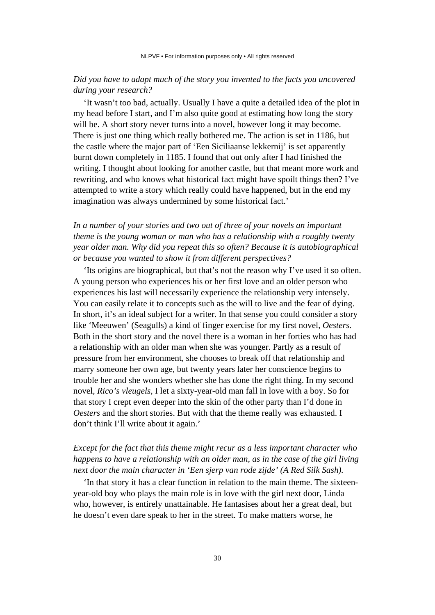## *Did you have to adapt much of the story you invented to the facts you uncovered during your research?*

'It wasn't too bad, actually. Usually I have a quite a detailed idea of the plot in my head before I start, and I'm also quite good at estimating how long the story will be. A short story never turns into a novel, however long it may become. There is just one thing which really bothered me. The action is set in 1186, but the castle where the major part of 'Een Siciliaanse lekkernij' is set apparently burnt down completely in 1185. I found that out only after I had finished the writing. I thought about looking for another castle, but that meant more work and rewriting, and who knows what historical fact might have spoilt things then? I've attempted to write a story which really could have happened, but in the end my imagination was always undermined by some historical fact.'

## *In a number of your stories and two out of three of your novels an important theme is the young woman or man who has a relationship with a roughly twenty year older man. Why did you repeat this so often? Because it is autobiographical or because you wanted to show it from different perspectives?*

'Its origins are biographical, but that's not the reason why I've used it so often. A young person who experiences his or her first love and an older person who experiences his last will necessarily experience the relationship very intensely. You can easily relate it to concepts such as the will to live and the fear of dying. In short, it's an ideal subject for a writer. In that sense you could consider a story like 'Meeuwen' (Seagulls) a kind of finger exercise for my first novel, *Oesters*. Both in the short story and the novel there is a woman in her forties who has had a relationship with an older man when she was younger. Partly as a result of pressure from her environment, she chooses to break off that relationship and marry someone her own age, but twenty years later her conscience begins to trouble her and she wonders whether she has done the right thing. In my second novel, *Rico's vleugels,* I let a sixty-year-old man fall in love with a boy. So for that story I crept even deeper into the skin of the other party than I'd done in *Oesters* and the short stories. But with that the theme really was exhausted. I don't think I'll write about it again.'

## *Except for the fact that this theme might recur as a less important character who happens to have a relationship with an older man, as in the case of the girl living next door the main character in 'Een sjerp van rode zijde' (A Red Silk Sash).*

'In that story it has a clear function in relation to the main theme. The sixteenyear-old boy who plays the main role is in love with the girl next door, Linda who, however, is entirely unattainable. He fantasises about her a great deal, but he doesn't even dare speak to her in the street. To make matters worse, he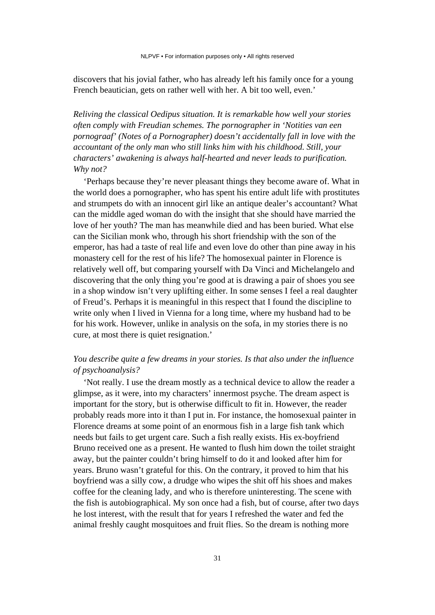discovers that his jovial father, who has already left his family once for a young French beautician, gets on rather well with her. A bit too well, even.'

*Reliving the classical Oedipus situation. It is remarkable how well your stories often comply with Freudian schemes. The pornographer in 'Notities van een pornograaf' (Notes of a Pornographer) doesn't accidentally fall in love with the accountant of the only man who still links him with his childhood. Still, your characters' awakening is always half-hearted and never leads to purification. Why not?*

'Perhaps because they're never pleasant things they become aware of. What in the world does a pornographer, who has spent his entire adult life with prostitutes and strumpets do with an innocent girl like an antique dealer's accountant? What can the middle aged woman do with the insight that she should have married the love of her youth? The man has meanwhile died and has been buried. What else can the Sicilian monk who, through his short friendship with the son of the emperor, has had a taste of real life and even love do other than pine away in his monastery cell for the rest of his life? The homosexual painter in Florence is relatively well off, but comparing yourself with Da Vinci and Michelangelo and discovering that the only thing you're good at is drawing a pair of shoes you see in a shop window isn't very uplifting either. In some senses I feel a real daughter of Freud's. Perhaps it is meaningful in this respect that I found the discipline to write only when I lived in Vienna for a long time, where my husband had to be for his work. However, unlike in analysis on the sofa, in my stories there is no cure, at most there is quiet resignation.'

### *You describe quite a few dreams in your stories. Is that also under the influence of psychoanalysis?*

'Not really. I use the dream mostly as a technical device to allow the reader a glimpse, as it were, into my characters' innermost psyche. The dream aspect is important for the story, but is otherwise difficult to fit in. However, the reader probably reads more into it than I put in. For instance, the homosexual painter in Florence dreams at some point of an enormous fish in a large fish tank which needs but fails to get urgent care. Such a fish really exists. His ex-boyfriend Bruno received one as a present. He wanted to flush him down the toilet straight away, but the painter couldn't bring himself to do it and looked after him for years. Bruno wasn't grateful for this. On the contrary, it proved to him that his boyfriend was a silly cow, a drudge who wipes the shit off his shoes and makes coffee for the cleaning lady, and who is therefore uninteresting. The scene with the fish is autobiographical. My son once had a fish, but of course, after two days he lost interest, with the result that for years I refreshed the water and fed the animal freshly caught mosquitoes and fruit flies. So the dream is nothing more